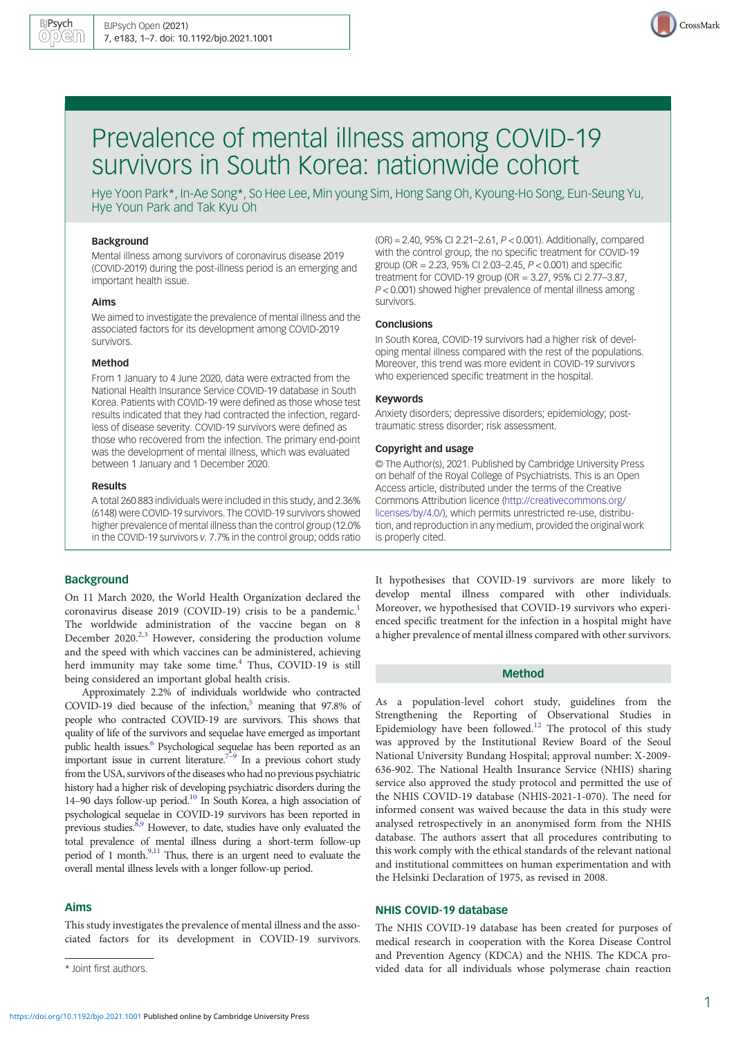

# Prevalence of mental illness among COVID-19 survivors in South Korea: nationwide cohort

Hye Yoon Park\*, In-Ae Song\*, So Hee Lee, Min young Sim, Hong Sang Oh, Kyoung-Ho Song, Eun-Seung Yu, Hye Youn Park and Tak Kyu Oh

#### Background

Mental illness among survivors of coronavirus disease 2019 (COVID-2019) during the post-illness period is an emerging and important health issue.

#### Aims

We aimed to investigate the prevalence of mental illness and the associated factors for its development among COVID-2019 survivors.

### Method

From 1 January to 4 June 2020, data were extracted from the National Health Insurance Service COVID-19 database in South Korea. Patients with COVID-19 were defined as those whose test results indicated that they had contracted the infection, regardless of disease severity. COVID-19 survivors were defined as those who recovered from the infection. The primary end-point was the development of mental illness, which was evaluated between 1 January and 1 December 2020.

#### Results

A total 260 883 individuals were included in this study, and 2.36% (6148) were COVID-19 survivors. The COVID-19 survivors showed higher prevalence of mental illness than the control group (12.0% in the COVID-19 survivors v. 7.7% in the control group; odds ratio

# **Background**

On 11 March 2020, the World Health Organization declared the coronavirus disease 2019 (COVID-19) crisis to be a pandemic.<sup>1</sup> The worldwide administration of the vaccine began on 8 December 2020.<sup>2,[3](#page-5-0)</sup> However, considering the production volume and the speed with which vaccines can be administered, achieving herd immunity may take some time.<sup>[4](#page-5-0)</sup> Thus, COVID-19 is still being considered an important global health crisis.

Approximately 2.2% of individuals worldwide who contracted COVID-19 died because of the infection,<sup>5</sup> meaning that 97.8% of people who contracted COVID-19 are survivors. This shows that quality of life of the survivors and sequelae have emerged as important public health issues.<sup>[6](#page-5-0)</sup> Psychological sequelae has been reported as an important issue in current literature.<sup>[7](#page-5-0)-[9](#page-5-0)</sup> In a previous cohort study from the USA, survivors of the diseases who had no previous psychiatric history had a higher risk of developing psychiatric disorders during the 14–90 days follow-up period.<sup>[10](#page-5-0)</sup> In South Korea, a high association of psychological sequelae in COVID-19 survivors has been reported in previous studies. ${}^{\hat{8},9}$  ${}^{\hat{8},9}$  ${}^{\hat{8},9}$  However, to date, studies have only evaluated the total prevalence of mental illness during a short-term follow-up period of 1 month.<sup>[9,11](#page-5-0)</sup> Thus, there is an urgent need to evaluate the overall mental illness levels with a longer follow-up period.

# Aims

This study investigates the prevalence of mental illness and the associated factors for its development in COVID-19 survivors. (OR) = 2.40, 95% CI 2.21–2.61, P < 0.001). Additionally, compared with the control group, the no specific treatment for COVID-19 group (OR = 2.23, 95% CI 2.03–2.45, P < 0.001) and specific treatment for COVID-19 group (OR = 3.27, 95% CI 2.77–3.87, P < 0.001) showed higher prevalence of mental illness among survivors.

#### **Conclusions**

In South Korea, COVID-19 survivors had a higher risk of developing mental illness compared with the rest of the populations. Moreover, this trend was more evident in COVID-19 survivors who experienced specific treatment in the hospital.

## Keywords

Anxiety disorders; depressive disorders; epidemiology; posttraumatic stress disorder; risk assessment.

## Copyright and usage

© The Author(s), 2021. Published by Cambridge University Press on behalf of the Royal College of Psychiatrists. This is an Open Access article, distributed under the terms of the Creative Commons Attribution licence [\(http://creativecommons.org/](http://creativecommons.org/licenses/by/4.0/) [licenses/by/4.0/](http://creativecommons.org/licenses/by/4.0/)), which permits unrestricted re-use, distribution, and reproduction in any medium, provided the original work is properly cited.

It hypothesises that COVID-19 survivors are more likely to develop mental illness compared with other individuals. Moreover, we hypothesised that COVID-19 survivors who experienced specific treatment for the infection in a hospital might have a higher prevalence of mental illness compared with other survivors.

# Method

As a population-level cohort study, guidelines from the Strengthening the Reporting of Observational Studies in Epidemiology have been followed.<sup>[12](#page-5-0)</sup> The protocol of this study was approved by the Institutional Review Board of the Seoul National University Bundang Hospital; approval number: X-2009- 636-902. The National Health Insurance Service (NHIS) sharing service also approved the study protocol and permitted the use of the NHIS COVID-19 database (NHIS-2021-1-070). The need for informed consent was waived because the data in this study were analysed retrospectively in an anonymised form from the NHIS database. The authors assert that all procedures contributing to this work comply with the ethical standards of the relevant national and institutional committees on human experimentation and with the Helsinki Declaration of 1975, as revised in 2008.

# NHIS COVID-19 database

The NHIS COVID-19 database has been created for purposes of medical research in cooperation with the Korea Disease Control and Prevention Agency (KDCA) and the NHIS. The KDCA pro- \* Joint first authors. vided data for all individuals whose polymerase chain reaction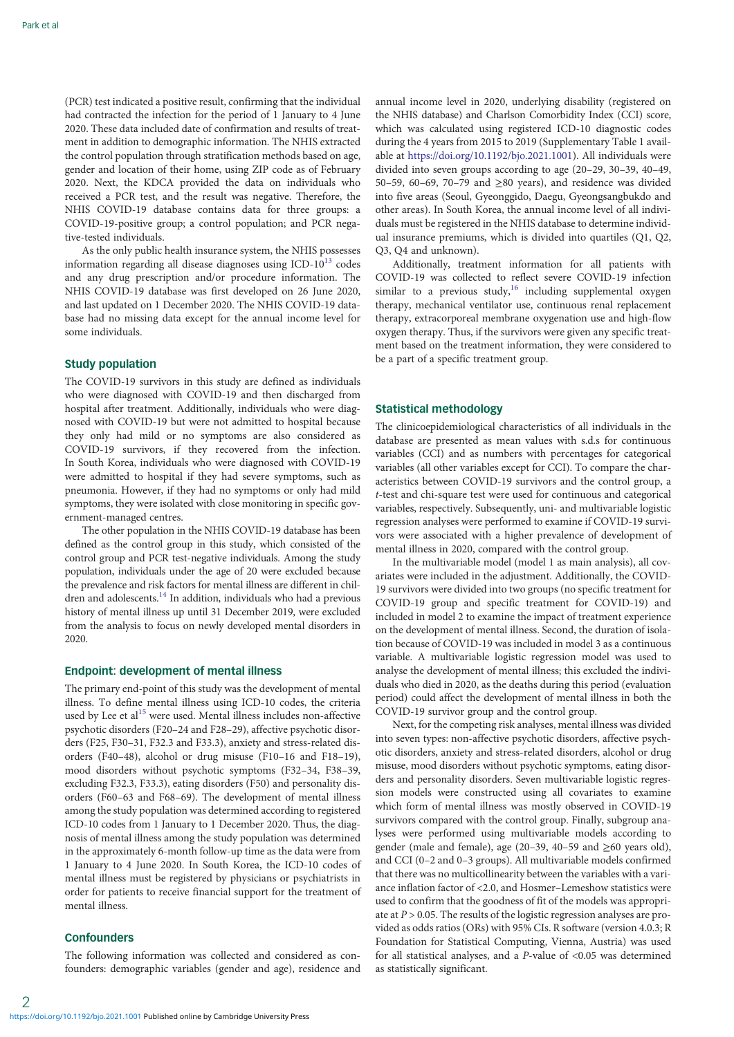(PCR) test indicated a positive result, confirming that the individual had contracted the infection for the period of 1 January to 4 June 2020. These data included date of confirmation and results of treatment in addition to demographic information. The NHIS extracted the control population through stratification methods based on age, gender and location of their home, using ZIP code as of February 2020. Next, the KDCA provided the data on individuals who received a PCR test, and the result was negative. Therefore, the NHIS COVID-19 database contains data for three groups: a COVID-19-positive group; a control population; and PCR negative-tested individuals.

As the only public health insurance system, the NHIS possesses information regarding all disease diagnoses using  $ICD-10^{13}$  codes and any drug prescription and/or procedure information. The NHIS COVID-19 database was first developed on 26 June 2020, and last updated on 1 December 2020. The NHIS COVID-19 database had no missing data except for the annual income level for some individuals.

# Study population

The COVID-19 survivors in this study are defined as individuals who were diagnosed with COVID-19 and then discharged from hospital after treatment. Additionally, individuals who were diagnosed with COVID-19 but were not admitted to hospital because they only had mild or no symptoms are also considered as COVID-19 survivors, if they recovered from the infection. In South Korea, individuals who were diagnosed with COVID-19 were admitted to hospital if they had severe symptoms, such as pneumonia. However, if they had no symptoms or only had mild symptoms, they were isolated with close monitoring in specific government-managed centres.

The other population in the NHIS COVID-19 database has been defined as the control group in this study, which consisted of the control group and PCR test-negative individuals. Among the study population, individuals under the age of 20 were excluded because the prevalence and risk factors for mental illness are different in chil-dren and adolescents.<sup>[14](#page-5-0)</sup> In addition, individuals who had a previous history of mental illness up until 31 December 2019, were excluded from the analysis to focus on newly developed mental disorders in 2020.

# Endpoint: development of mental illness

The primary end-point of this study was the development of mental illness. To define mental illness using ICD-10 codes, the criteria used by Lee et al<sup>15</sup> were used. Mental illness includes non-affective psychotic disorders (F20–24 and F28–29), affective psychotic disorders (F25, F30–31, F32.3 and F33.3), anxiety and stress-related disorders (F40–48), alcohol or drug misuse (F10–16 and F18–19), mood disorders without psychotic symptoms (F32–34, F38–39, excluding F32.3, F33.3), eating disorders (F50) and personality disorders (F60–63 and F68–69). The development of mental illness among the study population was determined according to registered ICD-10 codes from 1 January to 1 December 2020. Thus, the diagnosis of mental illness among the study population was determined in the approximately 6-month follow-up time as the data were from 1 January to 4 June 2020. In South Korea, the ICD-10 codes of mental illness must be registered by physicians or psychiatrists in order for patients to receive financial support for the treatment of mental illness.

# **Confounders**

The following information was collected and considered as confounders: demographic variables (gender and age), residence and annual income level in 2020, underlying disability (registered on the NHIS database) and Charlson Comorbidity Index (CCI) score, which was calculated using registered ICD-10 diagnostic codes during the 4 years from 2015 to 2019 (Supplementary Table 1 available at <https://doi.org/10.1192/bjo.2021.1001>). All individuals were divided into seven groups according to age (20–29, 30–39, 40–49, 50–59, 60–69, 70–79 and ≥80 years), and residence was divided into five areas (Seoul, Gyeonggido, Daegu, Gyeongsangbukdo and other areas). In South Korea, the annual income level of all individuals must be registered in the NHIS database to determine individual insurance premiums, which is divided into quartiles (Q1, Q2, Q3, Q4 and unknown).

Additionally, treatment information for all patients with COVID-19 was collected to reflect severe COVID-19 infection similar to a previous study, $16$  including supplemental oxygen therapy, mechanical ventilator use, continuous renal replacement therapy, extracorporeal membrane oxygenation use and high-flow oxygen therapy. Thus, if the survivors were given any specific treatment based on the treatment information, they were considered to be a part of a specific treatment group.

# Statistical methodology

The clinicoepidemiological characteristics of all individuals in the database are presented as mean values with s.d.s for continuous variables (CCI) and as numbers with percentages for categorical variables (all other variables except for CCI). To compare the characteristics between COVID-19 survivors and the control group, a t-test and chi-square test were used for continuous and categorical variables, respectively. Subsequently, uni- and multivariable logistic regression analyses were performed to examine if COVID-19 survivors were associated with a higher prevalence of development of mental illness in 2020, compared with the control group.

In the multivariable model (model 1 as main analysis), all covariates were included in the adjustment. Additionally, the COVID-19 survivors were divided into two groups (no specific treatment for COVID-19 group and specific treatment for COVID-19) and included in model 2 to examine the impact of treatment experience on the development of mental illness. Second, the duration of isolation because of COVID-19 was included in model 3 as a continuous variable. A multivariable logistic regression model was used to analyse the development of mental illness; this excluded the individuals who died in 2020, as the deaths during this period (evaluation period) could affect the development of mental illness in both the COVID-19 survivor group and the control group.

Next, for the competing risk analyses, mental illness was divided into seven types: non-affective psychotic disorders, affective psychotic disorders, anxiety and stress-related disorders, alcohol or drug misuse, mood disorders without psychotic symptoms, eating disorders and personality disorders. Seven multivariable logistic regression models were constructed using all covariates to examine which form of mental illness was mostly observed in COVID-19 survivors compared with the control group. Finally, subgroup analyses were performed using multivariable models according to gender (male and female), age (20–39, 40–59 and  $\geq 60$  years old), and CCI (0–2 and 0–3 groups). All multivariable models confirmed that there was no multicollinearity between the variables with a variance inflation factor of <2.0, and Hosmer–Lemeshow statistics were used to confirm that the goodness of fit of the models was appropriate at  $P > 0.05$ . The results of the logistic regression analyses are provided as odds ratios (ORs) with 95% CIs. R software (version 4.0.3; R Foundation for Statistical Computing, Vienna, Austria) was used for all statistical analyses, and a  $P$ -value of <0.05 was determined as statistically significant.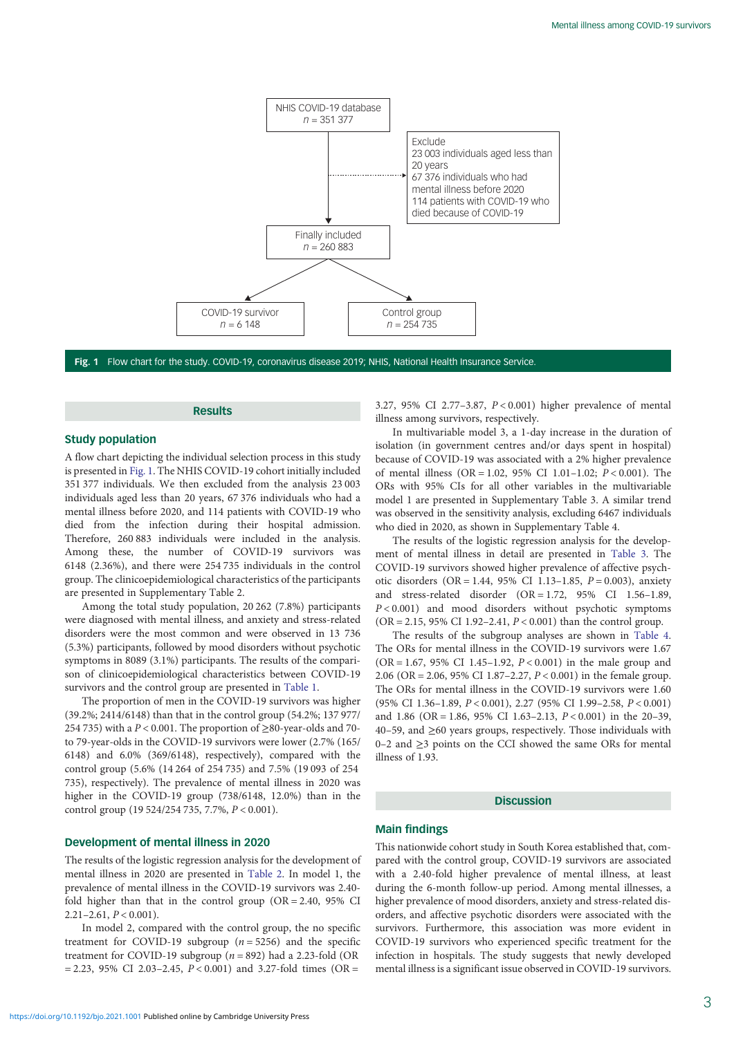

Fig. 1 Flow chart for the study. COVID-19, coronavirus disease 2019; NHIS, National Health Insurance Service.

# Results

# Study population

A flow chart depicting the individual selection process in this study is presented in Fig. 1. The NHIS COVID-19 cohort initially included 351 377 individuals. We then excluded from the analysis 23 003 individuals aged less than 20 years, 67 376 individuals who had a mental illness before 2020, and 114 patients with COVID-19 who died from the infection during their hospital admission. Therefore, 260 883 individuals were included in the analysis. Among these, the number of COVID-19 survivors was 6148 (2.36%), and there were 254 735 individuals in the control group. The clinicoepidemiological characteristics of the participants are presented in Supplementary Table 2.

Among the total study population, 20 262 (7.8%) participants were diagnosed with mental illness, and anxiety and stress-related disorders were the most common and were observed in 13 736 (5.3%) participants, followed by mood disorders without psychotic symptoms in 8089 (3.1%) participants. The results of the comparison of clinicoepidemiological characteristics between COVID-19 survivors and the control group are presented in [Table 1](#page-3-0).

The proportion of men in the COVID-19 survivors was higher (39.2%; 2414/6148) than that in the control group (54.2%; 137 977/ 254 735) with a  $P < 0.001$ . The proportion of  $\geq 80$ -year-olds and 70to 79-year-olds in the COVID-19 survivors were lower (2.7% (165/ 6148) and 6.0% (369/6148), respectively), compared with the control group (5.6% (14 264 of 254 735) and 7.5% (19 093 of 254 735), respectively). The prevalence of mental illness in 2020 was higher in the COVID-19 group (738/6148, 12.0%) than in the control group (19 524/254 735, 7.7%, P < 0.001).

## Development of mental illness in 2020

The results of the logistic regression analysis for the development of mental illness in 2020 are presented in [Table 2.](#page-4-0) In model 1, the prevalence of mental illness in the COVID-19 survivors was 2.40 fold higher than that in the control group  $(OR = 2.40, 95\% \text{ CI})$  $2.21 - 2.61, P < 0.001$ ).

In model 2, compared with the control group, the no specific treatment for COVID-19 subgroup  $(n = 5256)$  and the specific treatment for COVID-19 subgroup ( $n = 892$ ) had a 2.23-fold (OR  $= 2.23, 95\% \text{ CI } 2.03 - 2.45, P < 0.001$  and 3.27-fold times (OR =

3.27, 95% CI 2.77–3.87, P < 0.001) higher prevalence of mental illness among survivors, respectively.

In multivariable model 3, a 1-day increase in the duration of isolation (in government centres and/or days spent in hospital) because of COVID-19 was associated with a 2% higher prevalence of mental illness (OR = 1.02, 95% CI 1.01–1.02;  $P < 0.001$ ). The ORs with 95% CIs for all other variables in the multivariable model 1 are presented in Supplementary Table 3. A similar trend was observed in the sensitivity analysis, excluding 6467 individuals who died in 2020, as shown in Supplementary Table 4.

The results of the logistic regression analysis for the development of mental illness in detail are presented in [Table 3](#page-4-0). The COVID-19 survivors showed higher prevalence of affective psychotic disorders (OR = 1.44, 95% CI 1.13-1.85,  $P = 0.003$ ), anxiety and stress-related disorder (OR = 1.72, 95% CI 1.56–1.89,  $P < 0.001$ ) and mood disorders without psychotic symptoms  $(OR = 2.15, 95\% \text{ CI } 1.92 - 2.41, P < 0.001)$  than the control group.

The results of the subgroup analyses are shown in [Table 4](#page-4-0). The ORs for mental illness in the COVID-19 survivors were 1.67 (OR = 1.67, 95% CI 1.45–1.92,  $P < 0.001$ ) in the male group and 2.06 (OR = 2.06, 95% CI 1.87–2.27, P < 0.001) in the female group. The ORs for mental illness in the COVID-19 survivors were 1.60 (95% CI 1.36–1.89, P < 0.001), 2.27 (95% CI 1.99–2.58, P < 0.001) and 1.86 (OR = 1.86, 95% CI 1.63-2.13,  $P < 0.001$ ) in the 20-39, 40–59, and ≥60 years groups, respectively. Those individuals with 0–2 and ≥3 points on the CCI showed the same ORs for mental illness of 1.93.

### **Discussion**

# Main findings

This nationwide cohort study in South Korea established that, compared with the control group, COVID-19 survivors are associated with a 2.40-fold higher prevalence of mental illness, at least during the 6-month follow-up period. Among mental illnesses, a higher prevalence of mood disorders, anxiety and stress-related disorders, and affective psychotic disorders were associated with the survivors. Furthermore, this association was more evident in COVID-19 survivors who experienced specific treatment for the infection in hospitals. The study suggests that newly developed mental illness is a significant issue observed in COVID-19 survivors.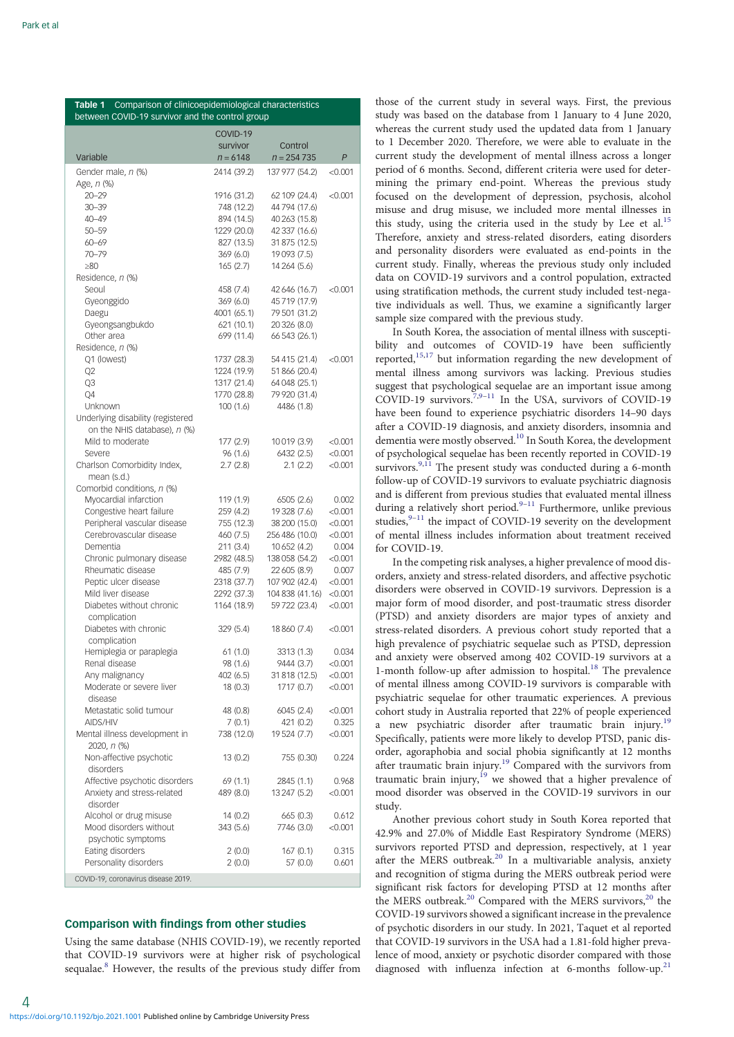<span id="page-3-0"></span>

| Comparison of clinicoepidemiological characteristics<br>Table 1<br>between COVID-19 survivor and the control group |                            |                                 |                    |  |  |
|--------------------------------------------------------------------------------------------------------------------|----------------------------|---------------------------------|--------------------|--|--|
|                                                                                                                    | COVID-19                   |                                 |                    |  |  |
|                                                                                                                    | survivor                   | Control                         |                    |  |  |
| Variable                                                                                                           | $n = 6148$                 | $n = 254735$                    | $\mathsf{P}$       |  |  |
| Gender male, n (%)                                                                                                 | 2414 (39.2)                | 137 977 (54.2)                  | < 0.001            |  |  |
| Age, n (%)                                                                                                         |                            |                                 |                    |  |  |
| $20 - 29$<br>$30 - 39$                                                                                             | 1916 (31.2)<br>748 (12.2)  | 62 109 (24.4)<br>44 794 (17.6)  | < 0.001            |  |  |
| $40 - 49$                                                                                                          | 894 (14.5)                 | 40 263 (15.8)                   |                    |  |  |
| $50 - 59$                                                                                                          | 1229 (20.0)                | 42 337 (16.6)                   |                    |  |  |
| $60 - 69$                                                                                                          | 827 (13.5)                 | 31 875 (12.5)                   |                    |  |  |
| $70 - 79$<br>$\geq 80$                                                                                             | 369(6.0)<br>165(2.7)       | 19093 (7.5)<br>14 264 (5.6)     |                    |  |  |
| Residence, n (%)                                                                                                   |                            |                                 |                    |  |  |
| Seoul                                                                                                              | 458 (7.4)                  | 42 646 (16.7)                   | < 0.001            |  |  |
| Gyeonggido                                                                                                         | 369(6.0)                   | 45719 (17.9)                    |                    |  |  |
| Daegu                                                                                                              | 4001 (65.1)                | 79 501 (31.2)                   |                    |  |  |
| Gyeongsangbukdo                                                                                                    | 621 (10.1)                 | 20 326 (8.0)                    |                    |  |  |
| Other area<br>Residence, n (%)                                                                                     | 699 (11.4)                 | 66 543 (26.1)                   |                    |  |  |
| Q1 (lowest)                                                                                                        | 1737 (28.3)                | 54 415 (21.4)                   | < 0.001            |  |  |
| Q <sub>2</sub>                                                                                                     | 1224 (19.9)                | 51 866 (20.4)                   |                    |  |  |
| Q3                                                                                                                 | 1317 (21.4)                | 64 048 (25.1)                   |                    |  |  |
| Q4                                                                                                                 | 1770 (28.8)                | 79 920 (31.4)                   |                    |  |  |
| Unknown                                                                                                            | 100 (1.6)                  | 4486 (1.8)                      |                    |  |  |
| Underlying disability (registered<br>on the NHIS database), n (%)                                                  |                            |                                 |                    |  |  |
| Mild to moderate                                                                                                   | 177 (2.9)                  | 10019 (3.9)                     | < 0.001            |  |  |
| Severe                                                                                                             | 96(1.6)                    | 6432 (2.5)                      | < 0.001            |  |  |
| Charlson Comorbidity Index,                                                                                        | 2.7(2.8)                   | 2.1(2.2)                        | < 0.001            |  |  |
| mean (s.d.)                                                                                                        |                            |                                 |                    |  |  |
| Comorbid conditions, n (%)                                                                                         |                            |                                 |                    |  |  |
| Myocardial infarction                                                                                              | 119 (1.9)                  | 6505(2.6)                       | 0.002              |  |  |
| Congestive heart failure<br>Peripheral vascular disease                                                            | 259 (4.2)<br>755 (12.3)    | 19 328 (7.6)<br>38 200 (15.0)   | < 0.001<br>< 0.001 |  |  |
| Cerebrovascular disease                                                                                            | 460 (7.5)                  | 256 486 (10.0)                  | < 0.001            |  |  |
| Dementia                                                                                                           | 211(3.4)                   | 10 652 (4.2)                    | 0.004              |  |  |
| Chronic pulmonary disease                                                                                          | 2982 (48.5)                | 138 058 (54.2)                  | < 0.001            |  |  |
| Rheumatic disease                                                                                                  | 485 (7.9)                  | 22 605 (8.9)                    | 0.007              |  |  |
| Peptic ulcer disease                                                                                               | 2318 (37.7)                | 107 902 (42.4)                  | < 0.001            |  |  |
| Mild liver disease<br>Diabetes without chronic                                                                     | 2292 (37.3)<br>1164 (18.9) | 104 838 (41.16)<br>59722 (23.4) | < 0.001<br>< 0.001 |  |  |
| complication                                                                                                       |                            |                                 |                    |  |  |
| Diabetes with chronic                                                                                              | 329 (5.4)                  | 18 860 (7.4)                    | < 0.001            |  |  |
| complication                                                                                                       |                            |                                 |                    |  |  |
| Hemiplegia or paraplegia                                                                                           | 61 (1.0)                   | 3313 (1.3)                      | 0.034              |  |  |
| Renal disease                                                                                                      | 98 (1.6)                   | 9444 (3.7)                      | < 0.001            |  |  |
| Any malignancy                                                                                                     | 402 (6.5)                  | 31 818 (12.5)                   | < 0.001            |  |  |
| Moderate or severe liver<br>disease                                                                                | 18(0.3)                    | 1717 (0.7)                      | < 0.001            |  |  |
| Metastatic solid tumour                                                                                            | 48 (0.8)                   | 6045 (2.4)                      | < 0.001            |  |  |
| AIDS/HIV                                                                                                           | 7(0.1)                     | 421 (0.2)                       | 0.325              |  |  |
| Mental illness development in                                                                                      | 738 (12.0)                 | 19 524 (7.7)                    | < 0.001            |  |  |
| 2020, n (%)                                                                                                        |                            |                                 |                    |  |  |
| Non-affective psychotic                                                                                            | 13 (0.2)                   | 755 (0.30)                      | 0.224              |  |  |
| disorders<br>Affective psychotic disorders                                                                         |                            |                                 | 0.968              |  |  |
| Anxiety and stress-related                                                                                         | 69 (1.1)<br>489 (8.0)      | 2845 (1.1)<br>13 247 (5.2)      | < 0.001            |  |  |
| disorder                                                                                                           |                            |                                 |                    |  |  |
| Alcohol or drug misuse                                                                                             | 14 (0.2)                   | 665 (0.3)                       | 0.612              |  |  |
| Mood disorders without                                                                                             | 343 (5.6)                  | 7746 (3.0)                      | < 0.001            |  |  |
| psychotic symptoms                                                                                                 |                            |                                 |                    |  |  |
| Eating disorders                                                                                                   | 2(0.0)                     | 167 (0.1)                       | 0.315              |  |  |
| Personality disorders                                                                                              | 2(0.0)                     | 57 (0.0)                        | 0.601              |  |  |
| COVID-19, coronavirus disease 2019.                                                                                |                            |                                 |                    |  |  |

# Comparison with findings from other studies

Using the same database (NHIS COVID-19), we recently reported that COVID-19 survivors were at higher risk of psychological sequalae.<sup>[8](#page-5-0)</sup> However, the results of the previous study differ from those of the current study in several ways. First, the previous study was based on the database from 1 January to 4 June 2020, whereas the current study used the updated data from 1 January to 1 December 2020. Therefore, we were able to evaluate in the current study the development of mental illness across a longer period of 6 months. Second, different criteria were used for determining the primary end-point. Whereas the previous study focused on the development of depression, psychosis, alcohol misuse and drug misuse, we included more mental illnesses in this study, using the criteria used in the study by Lee et al.<sup>[15](#page-5-0)</sup> Therefore, anxiety and stress-related disorders, eating disorders and personality disorders were evaluated as end-points in the current study. Finally, whereas the previous study only included data on COVID-19 survivors and a control population, extracted using stratification methods, the current study included test-negative individuals as well. Thus, we examine a significantly larger sample size compared with the previous study.

In South Korea, the association of mental illness with susceptibility and outcomes of COVID-19 have been sufficiently reported,[15,17](#page-5-0) but information regarding the new development of mental illness among survivors was lacking. Previous studies suggest that psychological sequelae are an important issue among COVID-19 survivors.[7,9](#page-5-0)–[11](#page-5-0) In the USA, survivors of COVID-19 have been found to experience psychiatric disorders 14–90 days after a COVID-19 diagnosis, and anxiety disorders, insomnia and dementia were mostly observed.[10](#page-5-0) In South Korea, the development of psychological sequelae has been recently reported in COVID-19 survivors.<sup>[9,11](#page-5-0)</sup> The present study was conducted during a 6-month follow-up of COVID-19 survivors to evaluate psychiatric diagnosis and is different from previous studies that evaluated mental illness during a relatively short period.<sup>[9](#page-5-0)–[11](#page-5-0)</sup> Furthermore, unlike previous studies, $9-11$  $9-11$  $9-11$  the impact of COVID-19 severity on the development of mental illness includes information about treatment received for COVID-19.

In the competing risk analyses, a higher prevalence of mood disorders, anxiety and stress-related disorders, and affective psychotic disorders were observed in COVID-19 survivors. Depression is a major form of mood disorder, and post-traumatic stress disorder (PTSD) and anxiety disorders are major types of anxiety and stress-related disorders. A previous cohort study reported that a high prevalence of psychiatric sequelae such as PTSD, depression and anxiety were observed among 402 COVID-19 survivors at a 1-month follow-up after admission to hospital.<sup>[18](#page-5-0)</sup> The prevalence of mental illness among COVID-19 survivors is comparable with psychiatric sequelae for other traumatic experiences. A previous cohort study in Australia reported that 22% of people experienced a new psychiatric disorder after traumatic brain injury.<sup>[19](#page-5-0)</sup> Specifically, patients were more likely to develop PTSD, panic disorder, agoraphobia and social phobia significantly at 12 months after traumatic brain injury[.19](#page-5-0) Compared with the survivors from traumatic brain injury,<sup>[19](#page-5-0)</sup> we showed that a higher prevalence of mood disorder was observed in the COVID-19 survivors in our study.

Another previous cohort study in South Korea reported that 42.9% and 27.0% of Middle East Respiratory Syndrome (MERS) survivors reported PTSD and depression, respectively, at 1 year after the MERS outbreak.<sup>20</sup> In a multivariable analysis, anxiety and recognition of stigma during the MERS outbreak period were significant risk factors for developing PTSD at 12 months after the MERS outbreak.<sup>[20](#page-6-0)</sup> Compared with the MERS survivors,<sup>20</sup> the COVID-19 survivors showed a significant increase in the prevalence of psychotic disorders in our study. In 2021, Taquet et al reported that COVID-19 survivors in the USA had a 1.81-fold higher prevalence of mood, anxiety or psychotic disorder compared with those diagnosed with influenza infection at 6-months follow-up.<sup>[21](#page-6-0)</sup>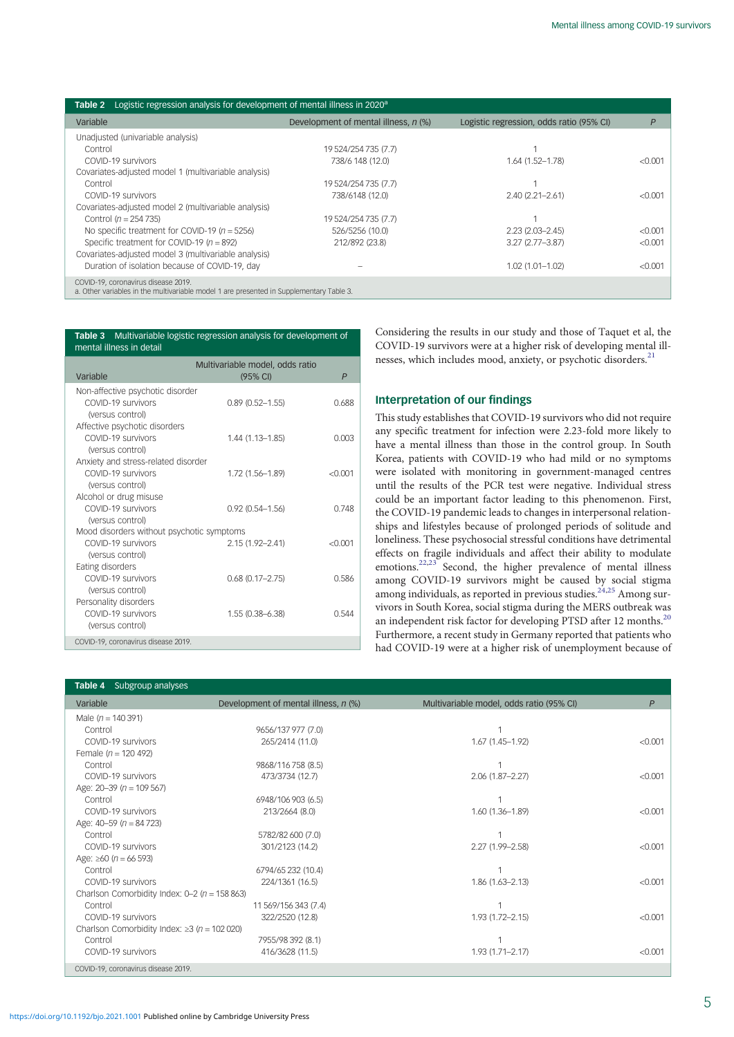<span id="page-4-0"></span>

| Logistic regression analysis for development of mental illness in 2020 <sup>a</sup><br>Table 2                                 |                                      |                                          |              |  |  |
|--------------------------------------------------------------------------------------------------------------------------------|--------------------------------------|------------------------------------------|--------------|--|--|
| Variable                                                                                                                       | Development of mental illness, n (%) | Logistic regression, odds ratio (95% CI) | $\mathsf{P}$ |  |  |
| Unadjusted (univariable analysis)                                                                                              |                                      |                                          |              |  |  |
| Control                                                                                                                        | 19 524/254 735 (7.7)                 |                                          |              |  |  |
| COVID-19 survivors                                                                                                             | 738/6 148 (12.0)                     | $1.64(1.52 - 1.78)$                      | < 0.001      |  |  |
| Covariates-adjusted model 1 (multivariable analysis)                                                                           |                                      |                                          |              |  |  |
| Control                                                                                                                        | 19 524/254 735 (7.7)                 |                                          |              |  |  |
| COVID-19 survivors                                                                                                             | 738/6148 (12.0)                      | $2.40(2.21 - 2.61)$                      | < 0.001      |  |  |
| Covariates-adjusted model 2 (multivariable analysis)                                                                           |                                      |                                          |              |  |  |
| Control $(n = 254 735)$                                                                                                        | 19 524/254 735 (7.7)                 |                                          |              |  |  |
| No specific treatment for COVID-19 ( $n = 5256$ )                                                                              | 526/5256 (10.0)                      | $2.23(2.03 - 2.45)$                      | < 0.001      |  |  |
| Specific treatment for COVID-19 ( $n = 892$ )                                                                                  | 212/892 (23.8)                       | $3.27(2.77 - 3.87)$                      | < 0.001      |  |  |
| Covariates-adjusted model 3 (multivariable analysis)                                                                           |                                      |                                          |              |  |  |
| Duration of isolation because of COVID-19, day                                                                                 |                                      | $1.02(1.01 - 1.02)$                      | < 0.001      |  |  |
| COVID-19, coronavirus disease 2019.<br>a. Other variables in the multivariable model 1 are presented in Supplementary Table 3. |                                      |                                          |              |  |  |

| Multivariable logistic regression analysis for development of<br>Table 3<br>mental illness in detail |                                             |              |  |
|------------------------------------------------------------------------------------------------------|---------------------------------------------|--------------|--|
| Variable                                                                                             | Multivariable model, odds ratio<br>(95% CI) | $\mathsf{P}$ |  |
| Non-affective psychotic disorder<br>COVID-19 survivors<br>(versus control)                           | $0.89(0.52 - 1.55)$                         | 0.688        |  |
| Affective psychotic disorders<br>COVID-19 survivors<br>(versus control)                              | $1.44(1.13 - 1.85)$                         | 0.003        |  |
| Anxiety and stress-related disorder<br>COVID-19 survivors<br>(versus control)                        | 1.72 (1.56-1.89)                            | < 0.001      |  |
| Alcohol or drug misuse<br>COVID-19 survivors<br>(versus control)                                     | $0.92(0.54 - 1.56)$                         | 0.748        |  |
| Mood disorders without psychotic symptoms<br>COVID-19 survivors                                      | $2.15(1.92 - 2.41)$                         | < 0.001      |  |
| (versus control)<br>Eating disorders                                                                 |                                             |              |  |
| COVID-19 survivors<br>(versus control)                                                               | $0.68(0.17 - 2.75)$                         | 0.586        |  |
| Personality disorders<br>COVID-19 survivors<br>(versus control)                                      | 1.55 (0.38-6.38)                            | 0.544        |  |
| COVID-19, coronavirus disease 2019.                                                                  |                                             |              |  |

Considering the results in our study and those of Taquet et al, the COVID-19 survivors were at a higher risk of developing mental ill-nesses, which includes mood, anxiety, or psychotic disorders.<sup>[21](#page-6-0)</sup>

# Interpretation of our findings

This study establishes that COVID-19 survivors who did not require any specific treatment for infection were 2.23-fold more likely to have a mental illness than those in the control group. In South Korea, patients with COVID-19 who had mild or no symptoms were isolated with monitoring in government-managed centres until the results of the PCR test were negative. Individual stress could be an important factor leading to this phenomenon. First, the COVID-19 pandemic leads to changes in interpersonal relationships and lifestyles because of prolonged periods of solitude and loneliness. These psychosocial stressful conditions have detrimental effects on fragile individuals and affect their ability to modulate emotions.<sup>[22](#page-6-0),[23](#page-6-0)</sup> Second, the higher prevalence of mental illness among COVID-19 survivors might be caused by social stigma among individuals, as reported in previous studies.  $24,25$  $24,25$  $24,25$  Among survivors in South Korea, social stigma during the MERS outbreak was an independent risk factor for developing PTSD after 12 months. $^{20}$  $^{20}$  $^{20}$ Furthermore, a recent study in Germany reported that patients who had COVID-19 were at a higher risk of unemployment because of

| <b>Table 4</b> Subgroup analyses                   |                                      |                                          |         |
|----------------------------------------------------|--------------------------------------|------------------------------------------|---------|
| Variable                                           | Development of mental illness, n (%) | Multivariable model, odds ratio (95% CI) | P       |
| Male $(n = 140391)$                                |                                      |                                          |         |
| Control                                            | 9656/137 977 (7.0)                   |                                          |         |
| COVID-19 survivors                                 | 265/2414 (11.0)                      | $1.67(1.45 - 1.92)$                      | < 0.001 |
| Female ( $n = 120,492$ )                           |                                      |                                          |         |
| Control                                            | 9868/116 758 (8.5)                   |                                          |         |
| COVID-19 survivors                                 | 473/3734 (12.7)                      | $2.06(1.87 - 2.27)$                      | < 0.001 |
| Age: $20-39$ ( $n = 109567$ )                      |                                      |                                          |         |
| Control                                            | 6948/106 903 (6.5)                   |                                          |         |
| COVID-19 survivors                                 | 213/2664 (8.0)                       | $1.60(1.36 - 1.89)$                      | < 0.001 |
| Age: $40-59$ ( $n = 84723$ )                       |                                      |                                          |         |
| Control                                            | 5782/82 600 (7.0)                    |                                          |         |
| COVID-19 survivors                                 | 301/2123 (14.2)                      | 2.27 (1.99-2.58)                         | < 0.001 |
| Age: $\geq 60$ (n = 66 593)                        |                                      |                                          |         |
| Control                                            | 6794/65 232 (10.4)                   |                                          |         |
| COVID-19 survivors                                 | 224/1361 (16.5)                      | $1.86(1.63 - 2.13)$                      | < 0.001 |
| Charlson Comorbidity Index: $0-2$ ( $n = 158863$ ) |                                      |                                          |         |
| Control                                            | 11 569/156 343 (7.4)                 |                                          |         |
| COVID-19 survivors                                 | 322/2520 (12.8)                      | $1.93(1.72 - 2.15)$                      | < 0.001 |
| Charlson Comorbidity Index: $\geq$ 3 (n = 102 020) |                                      |                                          |         |
| Control                                            | 7955/98 392 (8.1)                    |                                          |         |
| COVID-19 survivors                                 | 416/3628 (11.5)                      | $1.93(1.71 - 2.17)$                      | < 0.001 |
| COVID-19, coronavirus disease 2019.                |                                      |                                          |         |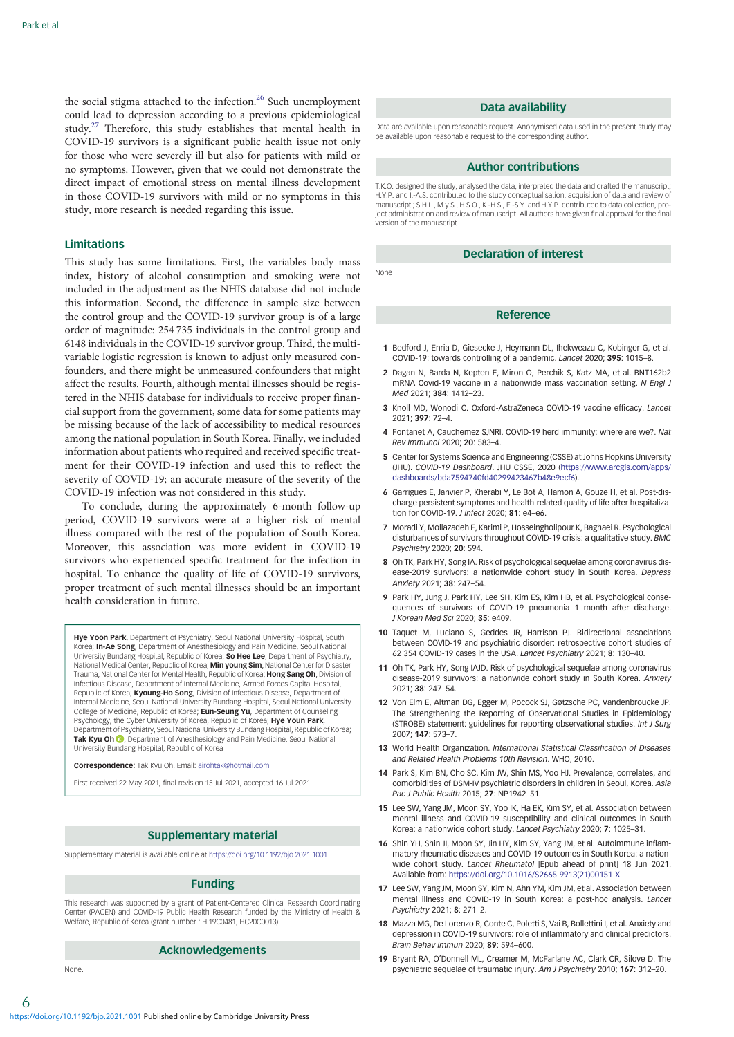<span id="page-5-0"></span>the social stigma attached to the infection.<sup>[26](#page-6-0)</sup> Such unemployment could lead to depression according to a previous epidemiological study.[27](#page-6-0) Therefore, this study establishes that mental health in COVID-19 survivors is a significant public health issue not only for those who were severely ill but also for patients with mild or no symptoms. However, given that we could not demonstrate the direct impact of emotional stress on mental illness development in those COVID-19 survivors with mild or no symptoms in this study, more research is needed regarding this issue.

#### Limitations

This study has some limitations. First, the variables body mass index, history of alcohol consumption and smoking were not included in the adjustment as the NHIS database did not include this information. Second, the difference in sample size between the control group and the COVID-19 survivor group is of a large order of magnitude: 254 735 individuals in the control group and 6148 individuals in the COVID-19 survivor group. Third, the multivariable logistic regression is known to adjust only measured confounders, and there might be unmeasured confounders that might affect the results. Fourth, although mental illnesses should be registered in the NHIS database for individuals to receive proper financial support from the government, some data for some patients may be missing because of the lack of accessibility to medical resources among the national population in South Korea. Finally, we included information about patients who required and received specific treatment for their COVID-19 infection and used this to reflect the severity of COVID-19; an accurate measure of the severity of the COVID-19 infection was not considered in this study.

To conclude, during the approximately 6-month follow-up period, COVID-19 survivors were at a higher risk of mental illness compared with the rest of the population of South Korea. Moreover, this association was more evident in COVID-19 survivors who experienced specific treatment for the infection in hospital. To enhance the quality of life of COVID-19 survivors, proper treatment of such mental illnesses should be an important health consideration in future.

**Hye Yoon Park**, Department of Psychiatry, Seoul National University Hospital, South Korea; In-Ae Song, Department of Anesthesiology and Pain Medicine, Seoul National University Bundang Hospital, Republic of Korea; So Hee Lee, Department of Psychiatry, National Medical Center, Republic of Korea; Min young Sim, National Center for Disaster Trauma, National Center for Mental Health, Republic of Korea; Hong Sang Oh, Division of Infectious Disease, Department of Internal Medicine, Armed Forces Capital Hospital, Republic of Korea; **Kyoung-Ho Song**, Division of Infectious Disease, Department of<br>Internal Medicine, Seoul National University Bundang Hospital, Seoul National University College of Medicine, Republic of Korea; **Eun-Seung Yu**, Department of Counseling Psychology, the Cyber University of Korea, Republic of Korea; Hye Youn Park, Department of Psychiatry, Seoul National University Bundang Hospital, Republic of Korea; Tak Kyu Oh <sup>D</sup>[,](https://orcid.org/0000-0002-4027-4423) Department of Anesthesiology and Pain Medicine, Seoul National University Bundang Hospital, Republic of Korea

Correspondence: Tak Kyu Oh. Email: [airohtak@hotmail.com](mailto:airohtak@hotmail.com)

First received 22 May 2021, final revision 15 Jul 2021, accepted 16 Jul 2021

## Supplementary material

Supplementary material is available online at <https://doi.org/10.1192/bjo.2021.1001>.

## Funding

This research was supported by a grant of Patient-Centered Clinical Research Coordinating Center (PACEN) and COVID-19 Public Health Research funded by the Ministry of Health & Welfare, Republic of Korea (grant number : HI19C0481, HC20C0013).

# Acknowledgements

None.

#### Data availability

Data are available upon reasonable request. Anonymised data used in the present study may be available upon reasonable request to the corresponding author.

# Author contributions

T.K.O. designed the study, analysed the data, interpreted the data and drafted the manuscript; H.Y.P. and I.-A.S. contributed to the study conceptualisation, acquisition of data and review of manuscript.; S.H.L., M.y.S., H.S.O., K.-H.S., E.-S.Y. and H.Y.P. contributed to data collection, project administration and review of manuscript. All authors have given final approval for the final version of the manuscript.

# Declaration of interest

None

# Reference

- 1 Bedford J, Enria D, Giesecke J, Heymann DL, Ihekweazu C, Kobinger G, et al. COVID-19: towards controlling of a pandemic. Lancet 2020; 395: 1015–8.
- 2 Dagan N, Barda N, Kepten E, Miron O, Perchik S, Katz MA, et al. BNT162b2 mRNA Covid-19 vaccine in a nationwide mass vaccination setting. N Engl J Med 2021; 384: 1412–23.
- 3 Knoll MD, Wonodi C. Oxford-AstraZeneca COVID-19 vaccine efficacy. Lancet 2021; 397: 72–4.
- 4 Fontanet A, Cauchemez SJNRI. COVID-19 herd immunity: where are we?. Nat Rev Immunol 2020; 20: 583–4.
- 5 Center for Systems Science and Engineering (CSSE) at Johns Hopkins University (JHU). COVID-19 Dashboard. JHU CSSE, 2020 ([https://www.arcgis.com/apps/](https://www.arcgis.com/apps/dashboards/bda7594740fd40299423467b48e9ecf6) [dashboards/bda7594740fd40299423467b48e9ecf6\)](https://www.arcgis.com/apps/dashboards/bda7594740fd40299423467b48e9ecf6).
- 6 Garrigues E, Janvier P, Kherabi Y, Le Bot A, Hamon A, Gouze H, et al. Post-discharge persistent symptoms and health-related quality of life after hospitalization for COVID-19. J Infect 2020; 81: e4–e6.
- 7 Moradi Y, Mollazadeh F, Karimi P, Hosseingholipour K, Baghaei R. Psychological disturbances of survivors throughout COVID-19 crisis: a qualitative study. BMC Psychiatry 2020; 20: 594.
- 8 Oh TK, Park HY, Song IA. Risk of psychological sequelae among coronavirus disease-2019 survivors: a nationwide cohort study in South Korea. Depress Anxiety 2021; 38: 247–54.
- 9 Park HY, Jung J, Park HY, Lee SH, Kim ES, Kim HB, et al. Psychological consequences of survivors of COVID-19 pneumonia 1 month after discharge. J Korean Med Sci 2020; 35: e409.
- 10 Taquet M, Luciano S, Geddes JR, Harrison PJ. Bidirectional associations between COVID-19 and psychiatric disorder: retrospective cohort studies of 62 354 COVID-19 cases in the USA. Lancet Psychiatry 2021; 8: 130–40.
- 11 Oh TK, Park HY, Song IAJD. Risk of psychological sequelae among coronavirus disease-2019 survivors: a nationwide cohort study in South Korea. Anxiety 2021; 38: 247–54.
- 12 Von Elm E, Altman DG, Egger M, Pocock SJ, Gøtzsche PC, Vandenbroucke JP. The Strengthening the Reporting of Observational Studies in Epidemiology (STROBE) statement: guidelines for reporting observational studies. Int J Surg 2007; 147: 573–7.
- 13 World Health Organization. International Statistical Classification of Diseases and Related Health Problems 10th Revision. WHO, 2010.
- 14 Park S, Kim BN, Cho SC, Kim JW, Shin MS, Yoo HJ. Prevalence, correlates, and comorbidities of DSM-IV psychiatric disorders in children in Seoul, Korea. Asia Pac J Public Health 2015; 27: NP1942–51.
- 15 Lee SW, Yang JM, Moon SY, Yoo IK, Ha EK, Kim SY, et al. Association between mental illness and COVID-19 susceptibility and clinical outcomes in South Korea: a nationwide cohort study. Lancet Psychiatry 2020; 7: 1025–31.
- 16 Shin YH, Shin JI, Moon SY, Jin HY, Kim SY, Yang JM, et al. Autoimmune inflammatory rheumatic diseases and COVID-19 outcomes in South Korea: a nationwide cohort study. Lancet Rheumatol [Epub ahead of print] 18 Jun 2021. Available from: [https://doi.org/10.1016/S2665-9913\(21\)00151-X](https://doi.org/10.1016/S2665-9913(21)00151-X)
- 17 Lee SW, Yang JM, Moon SY, Kim N, Ahn YM, Kim JM, et al. Association between mental illness and COVID-19 in South Korea: a post-hoc analysis. Lancet Psychiatry 2021; 8: 271–2.
- 18 Mazza MG, De Lorenzo R, Conte C, Poletti S, Vai B, Bollettini I, et al. Anxiety and depression in COVID-19 survivors: role of inflammatory and clinical predictors. Brain Behav Immun 2020; 89: 594–600.
- 19 Bryant RA, O'Donnell ML, Creamer M, McFarlane AC, Clark CR, Silove D. The psychiatric sequelae of traumatic injury. Am J Psychiatry 2010; 167: 312–20.